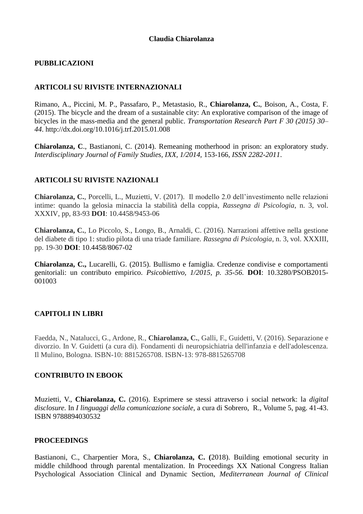# **PUBBLICAZIONI**

# **ARTICOLI SU RIVISTE INTERNAZIONALI**

Rimano, A., Piccini, M. P., Passafaro, P., Metastasio, R., **Chiarolanza, C.**, Boison, A., Costa, F. (2015). The bicycle and the dream of a sustainable city: An explorative comparison of the image of bicycles in the mass-media and the general public. *Transportation Research Part F 30 (2015) 30– 44*. http://dx.doi.org/10.1016/j.trf.2015.01.008

**Chiarolanza, C**., Bastianoni, C. (2014). Remeaning motherhood in prison: an exploratory study. *Interdisciplinary Journal of Family Studies, IXX, 1/2014,* 153-166, *ISSN 2282-2011*.

# **ARTICOLI SU RIVISTE NAZIONALI**

**Chiarolanza, C.**, Porcelli, L., Muzietti, V. (2017). Il modello 2.0 dell'investimento nelle relazioni intime: quando la gelosia minaccia la stabilità della coppia, *Rassegna di Psicologia*, n. 3, vol. XXXIV, pp, 83-93 **DOI**: 10.4458/9453-06

**Chiarolanza, C.**, Lo Piccolo, S., Longo, B., Arnaldi, C. (2016). Narrazioni affettive nella gestione del diabete di tipo 1: studio pilota di una triade familiare. *Rassegna di Psicologia*, n. 3, vol. XXXIII, pp. 19-30 **DOI**: 10.4458/8067-02

**Chiarolanza, C.,** Lucarelli, G. (2015). Bullismo e famiglia. Credenze condivise e comportamenti genitoriali: un contributo empirico. *Psicobiettivo, 1/2015, p. 35-56.* **DOI**: 10.3280/PSOB2015- 001003

# **CAPITOLI IN LIBRI**

Faedda, N., Natalucci, G., Ardone, R., **Chiarolanza, C.**, Galli, F., Guidetti, V. (2016). Separazione e divorzio. In V. Guidetti (a cura di). Fondamenti di neuropsichiatria dell'infanzia e dell'adolescenza. Il Mulino, Bologna. ISBN-10: 8815265708. ISBN-13: 978-8815265708

## **CONTRIBUTO IN EBOOK**

Muzietti, V., **Chiarolanza, C.** (2016). Esprimere se stessi attraverso i social network: la *digital disclosure*. In *I linguaggi della comunicazione sociale*, a cura di Sobrero, R., Volume 5, pag. 41-43. ISBN 9788894030532

## **PROCEEDINGS**

Bastianoni, C., Charpentier Mora, S., **Chiarolanza, C. (**2018). [Building emotional security in](https://iris.uniroma1.it/preview-item/824640?queryId=mysubmissions&)  middle childhood [through parental mentalization. In Proceedings XX National Congress Italian](https://iris.uniroma1.it/preview-item/824640?queryId=mysubmissions&)  Psychological [Association Clinical and Dynamic Section,](https://iris.uniroma1.it/preview-item/824640?queryId=mysubmissions&) *Mediterranean Journal of Clinical*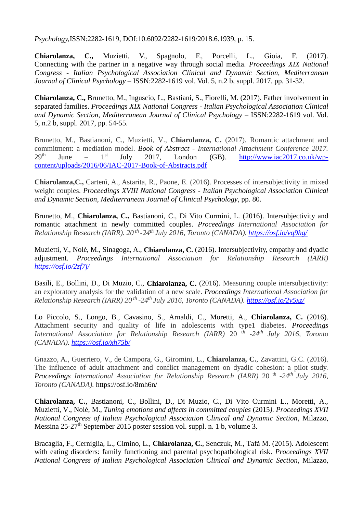*Psychology,*[ISSN:2282-1619,](https://iris.uniroma1.it/preview-item/824640?queryId=mysubmissions&) DOI:10.6092/2282-1619/2018.6.1939, p. 15.

**Chiarolanza, C.,** Muzietti, V., Spagnolo, F., Porcelli, L., Gioia, F. (2017). Connecting with the partner in a negative way through social media. *Proceedings XIX National Congress - Italian Psychological Association Clinical and Dynamic Section, Mediterranean Journal of Clinical Psychology* – ISSN:2282-1619 vol. Vol. 5, n.2 b, suppl. 2017, pp. 31-32.

**Chiarolanza, C.,** Brunetto, M., Inguscio, L., Bastiani, S., Fiorelli, M. (2017). Father involvement in separated families. *Proceedings XIX National Congress - Italian Psychological Association Clinical and Dynamic Section, Mediterranean Journal of Clinical Psychology* – ISSN:2282-1619 vol. Vol. 5, n.2 b, suppl. 2017, pp. 54-55.

Brunetto, M., Bastianoni, C., Muzietti, V., **Chiarolanza, C.** (2017). Romantic attachment and commitment: a mediation model. *Book of Abstract - International Attachment Conference 2017.*   $29<sup>th</sup>$  June –  $1<sup>st</sup>$ July 2017, London (GB). [http://www.iac2017.co.uk/wp](http://www.iac2017.co.uk/wp-content/uploads/2016/06/IAC-2017-Book-of-Abstracts.pdf)[content/uploads/2016/06/IAC-2017-Book-of-Abstracts.pdf](http://www.iac2017.co.uk/wp-content/uploads/2016/06/IAC-2017-Book-of-Abstracts.pdf)

**Chiarolanza,C.,** Cartenì, A., Astarita, R., Paone, E. (2016). Processes of intersubjectivity in mixed weight couples. *Proceedings XVIII National Congress - Italian Psychological Association Clinical and Dynamic Section, Mediterranean Journal of Clinical Psychology*, pp. 80.

Brunetto, M., **Chiarolanza, C.,** Bastianoni, C., Di Vito Curmini, L. (2016). [Intersubjectivity and](https://osf.io/vq9hg/)  [romantic attachment in newly committed couples.](https://osf.io/vq9hg/) *Proceedings International Association for Relationship Research (IARR). 20 th -24th July 2016, Toronto (CANADA). <https://osf.io/vq9hg/>*

Muzietti, V., Nolè, M., Sinagoga, A., **Chiarolanza, C.** (2016). Intersubjectivity, empathy and dyadic adjustment. *Proceedings International Association for Relationship Research (IARR) <https://osf.io/2zf7j/>*

Basili, E., Bollini, D., Di Muzio, C., **Chiarolanza, C.** (2016). Measuring couple intersubjectivity: an exploratory analysis for the validation of a new scale. *Proceedings International Association for Relationship Research (IARR) 20 th -24th July 2016, Toronto (CANADA).<https://osf.io/2v5xz/>*

Lo Piccolo, S., Longo, B., Cavasino, S., Arnaldi, C., Moretti, A., **Chiarolanza, C.** (2016). Attachment security and quality of life in adolescents with type1 diabetes. *Proceedings International Association for Relationship Research (IARR)* 20 <sup>t</sup>*<sup>h</sup> -24th July 2016, Toronto (CANADA). <https://osf.io/xh75b/>*

Gnazzo, A., Guerriero, V., de Campora, G., Giromini, L., **Chiarolanza, C.**, Zavattini, G.C. (2016). The influence of adult attachment and conflict management on dyadic cohesion: a pilot study. *Proceedings International Association for Relationship Research (IARR)* 20<sup>th</sup> -24<sup>th</sup> July 2016, *Toronto (CANADA).* https://osf.io/8mh6n/

**Chiarolanza, C.**, Bastianoni, C., Bollini, D., Di Muzio, C., Di Vito Curmini L., Moretti, A., Muzietti, V., Nolè, M., *Tuning emotions and affects in committed couples* (2015*)*. *Proceedings XVII National Congress of Italian Psychological Association Clinical and Dynamic Section*, Milazzo, Messina 25-27<sup>th</sup> September 2015 poster session vol. suppl. n. 1 b, volume 3.

Bracaglia, F., Cerniglia, L., Cimino, L., **Chiarolanza, C.**, Senczuk, M., Tafà M. (2015). Adolescent with eating disorders: family functioning and parental psychopathological risk. *Proceedings XVII National Congress of Italian Psychological Association Clinical and Dynamic Section*, Milazzo,